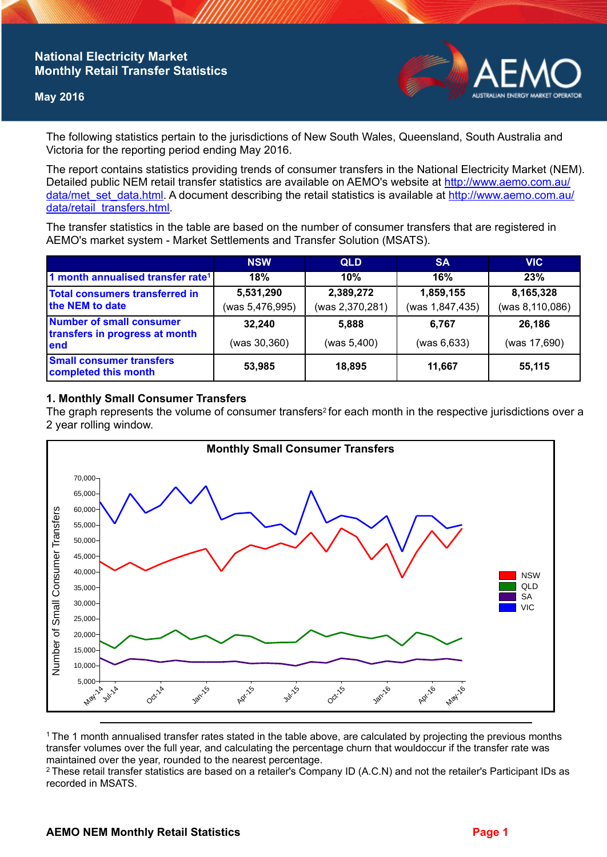## **National Electricity Market Monthly Retail Transfer Statistics**

### **May 2016**



The following statistics pertain to the jurisdictions of New South Wales, Queensland, South Australia and Victoria for the reporting period ending May 2016.

The report contains statistics providing trends of consumer transfers in the National Electricity Market (NEM). Detailed public NEM retail transfer statistics are available on AEMO's website at [http://www.aemo.com.au/](http://www.aemo.com.au/data/met_set_data.html) [data/met\\_set\\_data.html](http://www.aemo.com.au/data/met_set_data.html). A document describing the retail statistics is available at [http://www.aemo.com.au/](http://www.aemo.com.au/data/retail_transfers.html) [data/retail\\_transfers.html](http://www.aemo.com.au/data/retail_transfers.html).

The transfer statistics in the table are based on the number of consumer transfers that are registered in AEMO's market system - Market Settlements and Transfer Solution (MSATS).

|                                                                    | <b>NSW</b>                   | <b>QLD</b>                   | <b>SA</b>                    | <b>VIC</b>                   |
|--------------------------------------------------------------------|------------------------------|------------------------------|------------------------------|------------------------------|
| 1 month annualised transfer rate <sup>1</sup>                      | 18%                          | 10%                          | 16%                          | 23%                          |
| Total consumers transferred in<br>the NEM to date                  | 5,531,290<br>(was 5,476,995) | 2,389,272<br>(was 2,370,281) | 1,859,155<br>(was 1,847,435) | 8,165,328<br>(was 8,110,086) |
| Number of small consumer<br>transfers in progress at month<br>lend | 32,240                       | 5.888                        | 6.767                        | 26,186                       |
|                                                                    | (was 30,360)                 | (was 5,400)                  | (was 6,633)                  | (was 17,690)                 |
| <b>Small consumer transfers</b><br>completed this month            | 53,985                       | 18,895                       | 11.667                       | 55,115                       |

### **1. Monthly Small Consumer Transfers**

The graph represents the volume of consumer transfers<sup>2</sup> for each month in the respective jurisdictions over a 2 year rolling window.



<sup>1</sup>The 1 month annualised transfer rates stated in the table above, are calculated by projecting the previous months transfer volumes over the full year, and calculating the percentage churn that wouldoccur if the transfer rate was maintained over the year, rounded to the nearest percentage.

<sup>2</sup> These retail transfer statistics are based on a retailer's Company ID (A.C.N) and not the retailer's Participant IDs as recorded in MSATS.